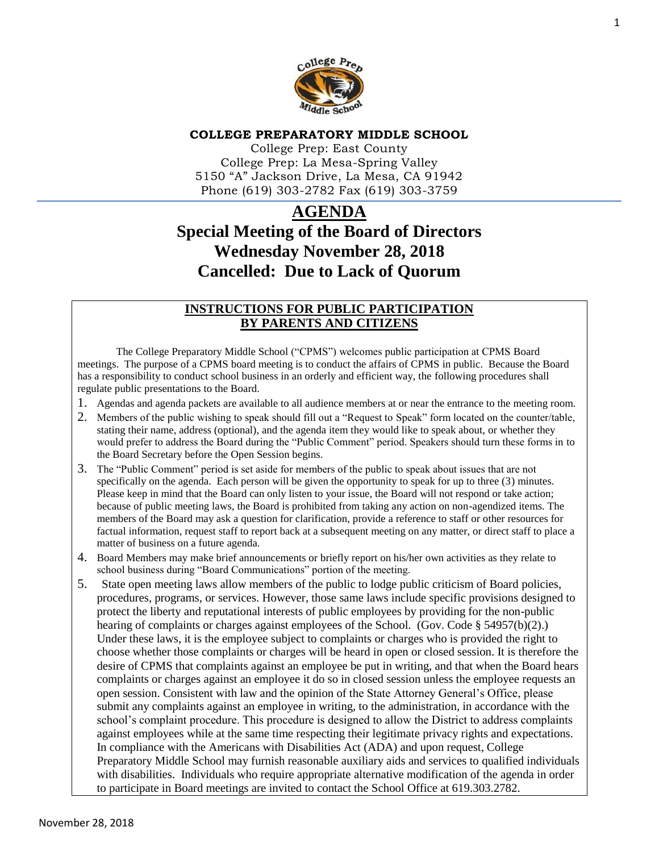

#### **COLLEGE PREPARATORY MIDDLE SCHOOL**

College Prep: East County College Prep: La Mesa-Spring Valley 5150 "A" Jackson Drive, La Mesa, CA 91942 Phone (619) 303-2782 Fax (619) 303-3759

# **AGENDA Special Meeting of the Board of Directors Wednesday November 28, 2018 Cancelled: Due to Lack of Quorum**

# **INSTRUCTIONS FOR PUBLIC PARTICIPATION BY PARENTS AND CITIZENS**

The College Preparatory Middle School ("CPMS") welcomes public participation at CPMS Board meetings. The purpose of a CPMS board meeting is to conduct the affairs of CPMS in public. Because the Board has a responsibility to conduct school business in an orderly and efficient way, the following procedures shall regulate public presentations to the Board.

- 1. Agendas and agenda packets are available to all audience members at or near the entrance to the meeting room.
- 2. Members of the public wishing to speak should fill out a "Request to Speak" form located on the counter/table, stating their name, address (optional), and the agenda item they would like to speak about, or whether they would prefer to address the Board during the "Public Comment" period. Speakers should turn these forms in to the Board Secretary before the Open Session begins.
- 3. The "Public Comment" period is set aside for members of the public to speak about issues that are not specifically on the agenda. Each person will be given the opportunity to speak for up to three (3) minutes. Please keep in mind that the Board can only listen to your issue, the Board will not respond or take action; because of public meeting laws, the Board is prohibited from taking any action on non-agendized items. The members of the Board may ask a question for clarification, provide a reference to staff or other resources for factual information, request staff to report back at a subsequent meeting on any matter, or direct staff to place a matter of business on a future agenda.
- 4. Board Members may make brief announcements or briefly report on his/her own activities as they relate to school business during "Board Communications" portion of the meeting.
- 5. State open meeting laws allow members of the public to lodge public criticism of Board policies, procedures, programs, or services. However, those same laws include specific provisions designed to protect the liberty and reputational interests of public employees by providing for the non-public hearing of complaints or charges against employees of the School. (Gov. Code § 54957(b)(2).) Under these laws, it is the employee subject to complaints or charges who is provided the right to choose whether those complaints or charges will be heard in open or closed session. It is therefore the desire of CPMS that complaints against an employee be put in writing, and that when the Board hears complaints or charges against an employee it do so in closed session unless the employee requests an open session. Consistent with law and the opinion of the State Attorney General's Office, please submit any complaints against an employee in writing, to the administration, in accordance with the school's complaint procedure. This procedure is designed to allow the District to address complaints against employees while at the same time respecting their legitimate privacy rights and expectations. In compliance with the Americans with Disabilities Act (ADA) and upon request, College Preparatory Middle School may furnish reasonable auxiliary aids and services to qualified individuals with disabilities. Individuals who require appropriate alternative modification of the agenda in order to participate in Board meetings are invited to contact the School Office at 619.303.2782.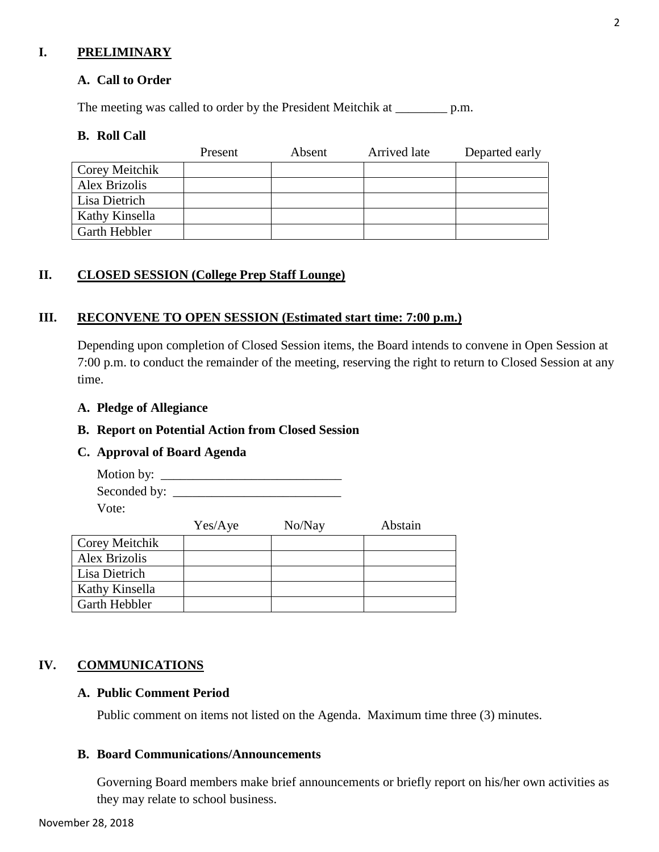## **I. PRELIMINARY**

## **A. Call to Order**

The meeting was called to order by the President Meitchik at \_\_\_\_\_\_\_\_ p.m.

#### **B. Roll Call**

|                | Present | Absent | Arrived late | Departed early |
|----------------|---------|--------|--------------|----------------|
| Corey Meitchik |         |        |              |                |
| Alex Brizolis  |         |        |              |                |
| Lisa Dietrich  |         |        |              |                |
| Kathy Kinsella |         |        |              |                |
| Garth Hebbler  |         |        |              |                |

## **II. CLOSED SESSION (College Prep Staff Lounge)**

#### **III. RECONVENE TO OPEN SESSION (Estimated start time: 7:00 p.m.)**

Depending upon completion of Closed Session items, the Board intends to convene in Open Session at 7:00 p.m. to conduct the remainder of the meeting, reserving the right to return to Closed Session at any time.

#### **A. Pledge of Allegiance**

#### **B. Report on Potential Action from Closed Session**

#### **C. Approval of Board Agenda**

Motion by: \_\_\_\_\_\_\_\_\_\_\_\_\_\_\_\_\_\_\_\_\_\_\_\_\_\_\_\_ Seconded by: \_\_\_\_\_\_\_\_\_\_\_\_\_\_\_\_\_\_\_\_\_\_\_\_\_\_ Vote:

|                      | Yes/Aye | No/Nay | Abstain |
|----------------------|---------|--------|---------|
| Corey Meitchik       |         |        |         |
| Alex Brizolis        |         |        |         |
| Lisa Dietrich        |         |        |         |
| Kathy Kinsella       |         |        |         |
| <b>Garth Hebbler</b> |         |        |         |

## **IV. COMMUNICATIONS**

### **A. Public Comment Period**

Public comment on items not listed on the Agenda. Maximum time three (3) minutes.

# **B. Board Communications/Announcements**

Governing Board members make brief announcements or briefly report on his/her own activities as they may relate to school business.